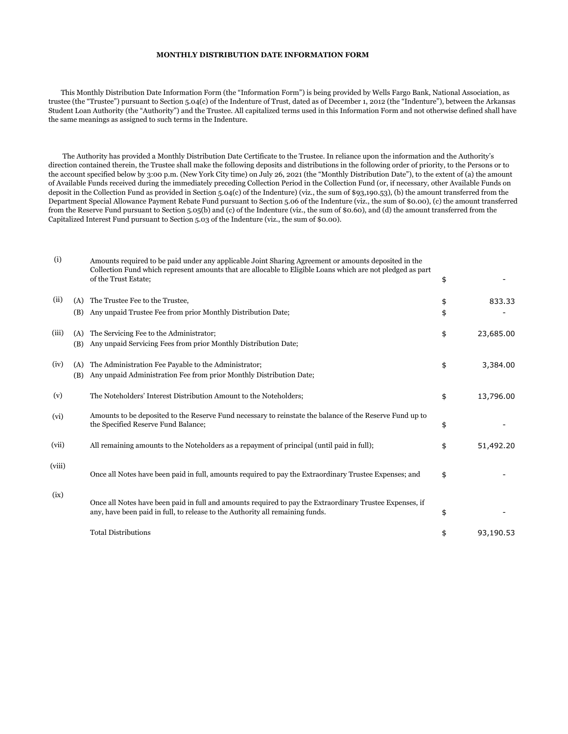## **MONTHLY DISTRIBUTION DATE INFORMATION FORM**

 This Monthly Distribution Date Information Form (the "Information Form") is being provided by Wells Fargo Bank, National Association, as trustee (the "Trustee") pursuant to Section 5.04(c) of the Indenture of Trust, dated as of December 1, 2012 (the "Indenture"), between the Arkansas Student Loan Authority (the "Authority") and the Trustee. All capitalized terms used in this Information Form and not otherwise defined shall have the same meanings as assigned to such terms in the Indenture.

 The Authority has provided a Monthly Distribution Date Certificate to the Trustee. In reliance upon the information and the Authority's direction contained therein, the Trustee shall make the following deposits and distributions in the following order of priority, to the Persons or to the account specified below by 3:00 p.m. (New York City time) on July 26, 2021 (the "Monthly Distribution Date"), to the extent of (a) the amount of Available Funds received during the immediately preceding Collection Period in the Collection Fund (or, if necessary, other Available Funds on deposit in the Collection Fund as provided in Section 5.04(c) of the Indenture) (viz., the sum of \$93,190.53), (b) the amount transferred from the Department Special Allowance Payment Rebate Fund pursuant to Section 5.06 of the Indenture (viz., the sum of \$0.00), (c) the amount transferred from the Reserve Fund pursuant to Section 5.05(b) and (c) of the Indenture (viz., the sum of \$0.60), and (d) the amount transferred from the Capitalized Interest Fund pursuant to Section 5.03 of the Indenture (viz., the sum of \$0.00).

| (i)    |            | Amounts required to be paid under any applicable Joint Sharing Agreement or amounts deposited in the<br>Collection Fund which represent amounts that are allocable to Eligible Loans which are not pledged as part<br>of the Trust Estate; | \$       |           |
|--------|------------|--------------------------------------------------------------------------------------------------------------------------------------------------------------------------------------------------------------------------------------------|----------|-----------|
| (ii)   | (A)<br>(B) | The Trustee Fee to the Trustee,<br>Any unpaid Trustee Fee from prior Monthly Distribution Date;                                                                                                                                            | \$<br>\$ | 833.33    |
| (iii)  | (A)<br>(B) | The Servicing Fee to the Administrator;<br>Any unpaid Servicing Fees from prior Monthly Distribution Date;                                                                                                                                 | \$       | 23,685.00 |
| (iv)   | (A)<br>(B) | The Administration Fee Payable to the Administrator;<br>Any unpaid Administration Fee from prior Monthly Distribution Date;                                                                                                                | \$       | 3,384.00  |
| (v)    |            | The Noteholders' Interest Distribution Amount to the Noteholders;                                                                                                                                                                          | \$       | 13,796.00 |
| (vi)   |            | Amounts to be deposited to the Reserve Fund necessary to reinstate the balance of the Reserve Fund up to<br>the Specified Reserve Fund Balance;                                                                                            | \$       |           |
| (vii)  |            | All remaining amounts to the Noteholders as a repayment of principal (until paid in full);                                                                                                                                                 | \$       | 51,492.20 |
| (viii) |            | Once all Notes have been paid in full, amounts required to pay the Extraordinary Trustee Expenses; and                                                                                                                                     | \$       |           |
| (ix)   |            | Once all Notes have been paid in full and amounts required to pay the Extraordinary Trustee Expenses, if<br>any, have been paid in full, to release to the Authority all remaining funds.                                                  | \$       |           |
|        |            | <b>Total Distributions</b>                                                                                                                                                                                                                 | \$       | 93,190.53 |